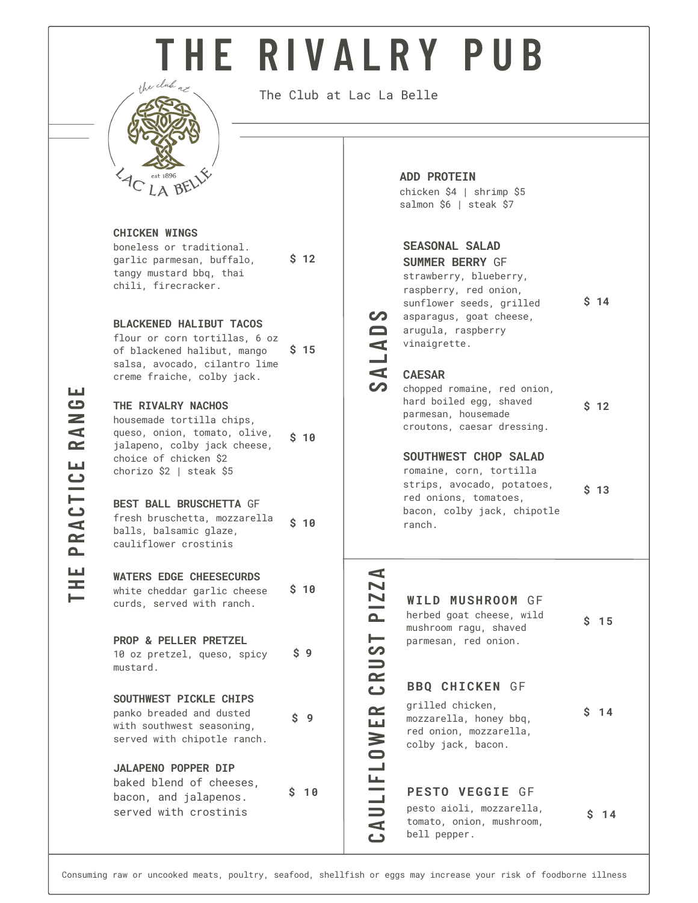# **T H E R I V A L R Y P U B**



The Club at Lac La Belle

**\$ 12**

#### **CHICKEN WINGS**

boneless or traditional. garlic parmesan, buffalo, tangy mustard bbq, thai chili, firecracker.

#### **BLACKENED HALIBUT TACOS**

flour or corn tortillas, 6 oz of blackened halibut, mango salsa, avocado, cilantro lime creme fraiche, colby jack. **\$ 15**

#### **THE RIVALRY NACHOS**

housemade tortilla chips, queso, onion, tomato, olive, jalapeno, colby jack cheese, choice of chicken \$2 chorizo \$2 | steak \$5 **\$ 10**

#### **BEST BALL BRUSCHETTA** GF fresh bruschetta, mozzarella balls, balsamic glaze, cauliflower crostinis **\$ 10**

### **WATERS EDGE CHEESECURDS**

white cheddar garlic cheese curds, served with ranch. **\$ 10**

#### **PROP & PELLER PRETZEL**

10 oz pretzel, queso, spicy mustard. **\$ 9**

#### **SOUTHWEST PICKLE CHIPS**

panko breaded and dusted with southwest seasoning, served with chipotle ranch. **\$ 9**

#### **JALAPENO POPPER DIP** baked blend of cheeses, bacon, and jalapenos. served with crostinis

**\$ 10**

#### **ADD PROTEIN**

chicken \$4 | shrimp \$5 salmon \$6 | steak \$7

#### **SEASONAL SALAD**

| <b>SUMMER BERRY GF</b>   |                 |
|--------------------------|-----------------|
| strawberry, blueberry,   |                 |
| raspberry, red onion,    |                 |
| sunflower seeds, grilled | S <sub>14</sub> |
| asparagus, goat cheese,  |                 |
| arugula, raspberry       |                 |
| vinaigrette.             |                 |
|                          |                 |

#### **CAESAR A**

**S**

**LADS**

|                                                   | chopped romaine, red onion,<br>hard boiled egg, shaved<br>\$ |  |  |
|---------------------------------------------------|--------------------------------------------------------------|--|--|
| parmesan, housemade<br>croutons, caesar dressing. |                                                              |  |  |

**\$ 12**

#### **SOUTHWEST CHOP SALAD**

romaine, corn, tortilla strips, avocado, potatoes, red onions, tomatoes, bacon, colby jack, chipotle ranch. **\$ 13**

## **WILD MUSHROOM** GF

bell pepper.

**L I F** colby jack, bacon. **P <sup>I</sup> <sup>Z</sup>** herbed goat cheese, wild mushroom ragu, shaved parmesan, red onion. grilled chicken, mozzarella, honey bbq, red onion, mozzarella, pesto aioli, mozzarella, tomato, onion, mushroom, **BBQ CHICKEN** GF **PESTO VEGGIE** GF **\$ 15 \$ 14 \$ 14**

**CAU**

**LOW**

**ERCRUS** $\blacksquare$ 

**ZA**

#### **HEPRACT I C ERANG**

**E**

**T**